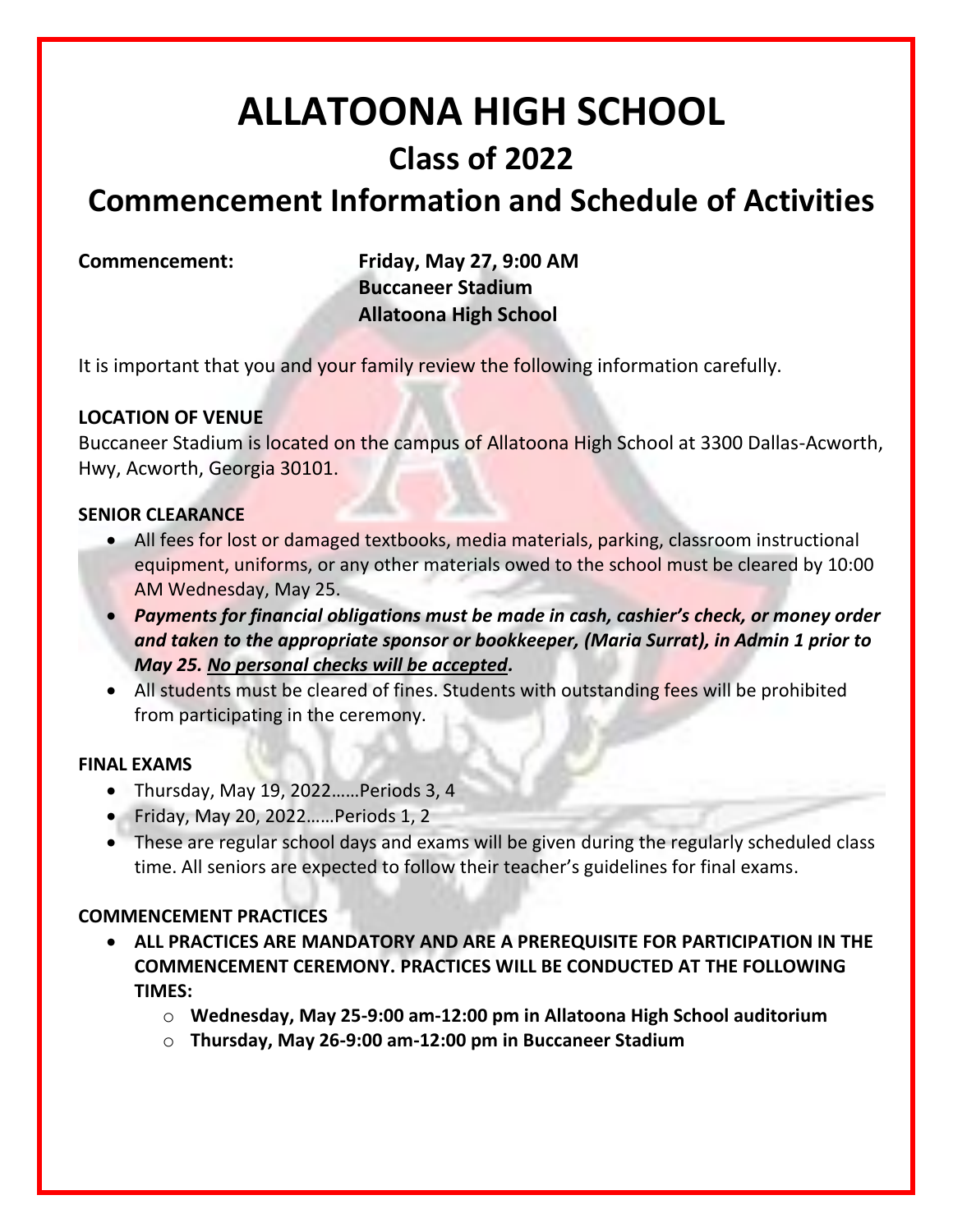# **ALLATOONA HIGH SCHOOL Class of 2022**

# **Commencement Information and Schedule of Activities**

**Commencement: Friday, May 27, 9:00 AM Buccaneer Stadium Allatoona High School**

It is important that you and your family review the following information carefully.

# **LOCATION OF VENUE**

Buccaneer Stadium is located on the campus of Allatoona High School at 3300 Dallas-Acworth, Hwy, Acworth, Georgia 30101.

### **SENIOR CLEARANCE**

- All fees for lost or damaged textbooks, media materials, parking, classroom instructional equipment, uniforms, or any other materials owed to the school must be cleared by 10:00 AM Wednesday, May 25.
- *Payments for financial obligations must be made in cash, cashier's check, or money order and taken to the appropriate sponsor or bookkeeper, (Maria Surrat), in Admin 1 prior to May 25. No personal checks will be accepted.*
- All students must be cleared of fines. Students with outstanding fees will be prohibited from participating in the ceremony.

#### **FINAL EXAMS**

- Thursday, May 19, 2022……Periods 3, 4
- Friday, May 20, 2022……Periods 1, 2
- These are regular school days and exams will be given during the regularly scheduled class time. All seniors are expected to follow their teacher's guidelines for final exams.

# **COMMENCEMENT PRACTICES**

- **ALL PRACTICES ARE MANDATORY AND ARE A PREREQUISITE FOR PARTICIPATION IN THE COMMENCEMENT CEREMONY. PRACTICES WILL BE CONDUCTED AT THE FOLLOWING TIMES:**
	- o **Wednesday, May 25-9:00 am-12:00 pm in Allatoona High School auditorium**
	- o **Thursday, May 26-9:00 am-12:00 pm in Buccaneer Stadium**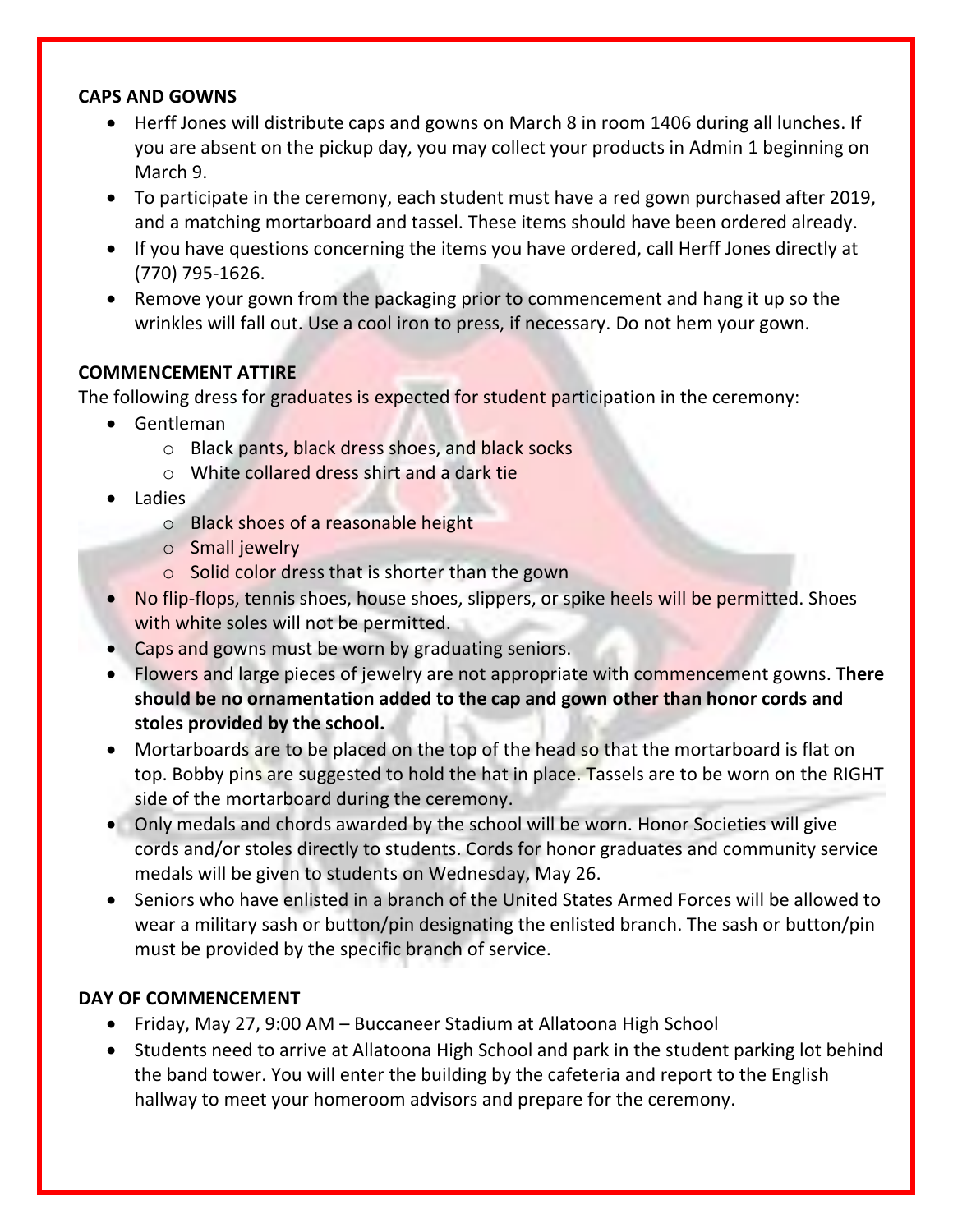#### **CAPS AND GOWNS**

- Herff Jones will distribute caps and gowns on March 8 in room 1406 during all lunches. If you are absent on the pickup day, you may collect your products in Admin 1 beginning on March 9.
- To participate in the ceremony, each student must have a red gown purchased after 2019, and a matching mortarboard and tassel. These items should have been ordered already.
- If you have questions concerning the items you have ordered, call Herff Jones directly at (770) 795-1626.
- Remove your gown from the packaging prior to commencement and hang it up so the wrinkles will fall out. Use a cool iron to press, if necessary. Do not hem your gown.

### **COMMENCEMENT ATTIRE**

The following dress for graduates is expected for student participation in the ceremony:

- Gentleman
	- o Black pants, black dress shoes, and black socks
	- o White collared dress shirt and a dark tie
- Ladies
	- o Black shoes of a reasonable height
	- o Small jewelry
	- o Solid color dress that is shorter than the gown
- No flip-flops, tennis shoes, house shoes, slippers, or spike heels will be permitted. Shoes with white soles will not be permitted.
- Caps and gowns must be worn by graduating seniors.
- Flowers and large pieces of jewelry are not appropriate with commencement gowns. **There should be no ornamentation added to the cap and gown other than honor cords and stoles provided by the school.**
- Mortarboards are to be placed on the top of the head so that the mortarboard is flat on top. Bobby pins are suggested to hold the hat in place. Tassels are to be worn on the RIGHT side of the mortarboard during the ceremony.
- Only medals and chords awarded by the school will be worn. Honor Societies will give cords and/or stoles directly to students. Cords for honor graduates and community service medals will be given to students on Wednesday, May 26.
- Seniors who have enlisted in a branch of the United States Armed Forces will be allowed to wear a military sash or button/pin designating the enlisted branch. The sash or button/pin must be provided by the specific branch of service.

# **DAY OF COMMENCEMENT**

- Friday, May 27, 9:00 AM Buccaneer Stadium at Allatoona High School
- Students need to arrive at Allatoona High School and park in the student parking lot behind the band tower. You will enter the building by the cafeteria and report to the English hallway to meet your homeroom advisors and prepare for the ceremony.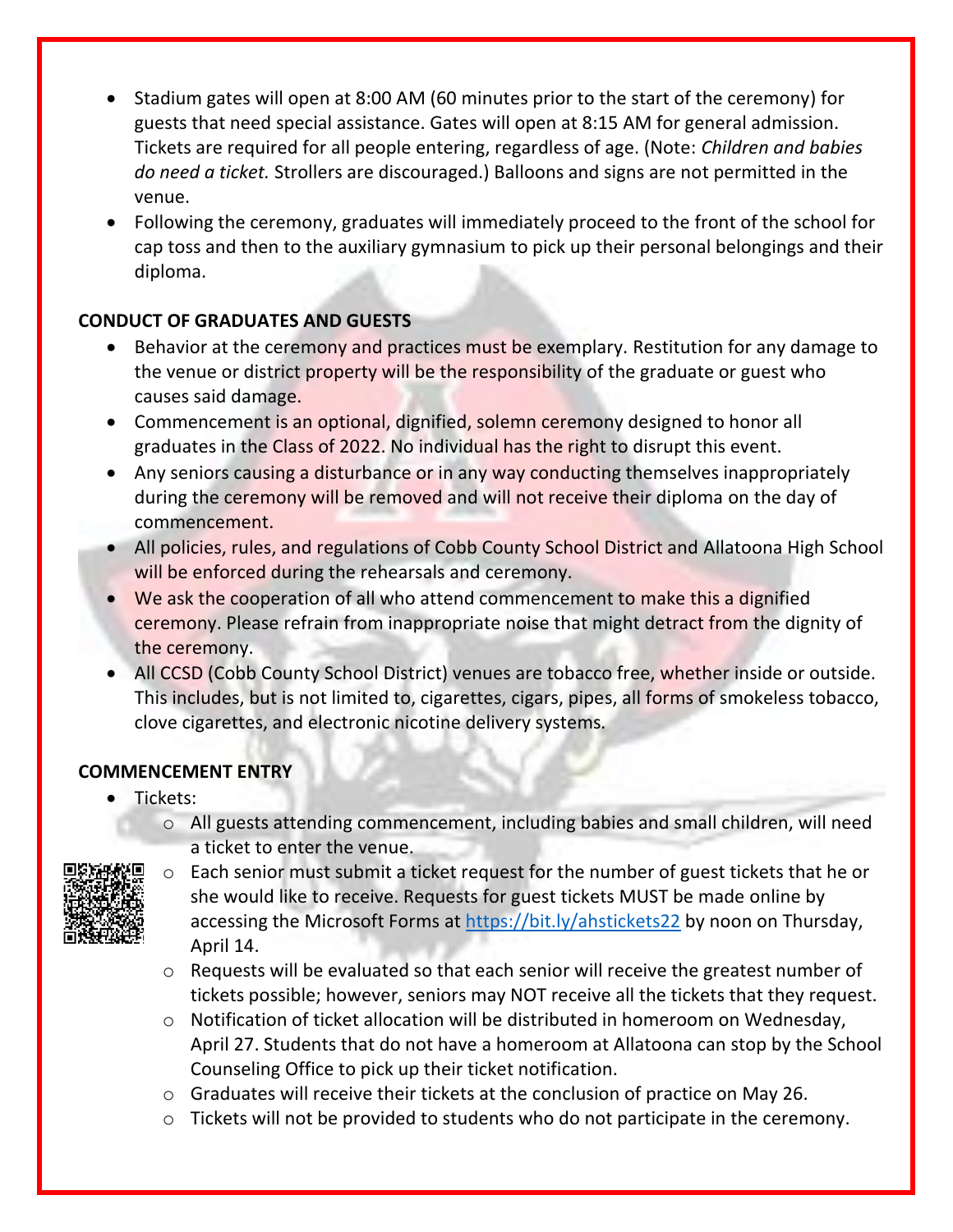- Stadium gates will open at 8:00 AM (60 minutes prior to the start of the ceremony) for guests that need special assistance. Gates will open at 8:15 AM for general admission. Tickets are required for all people entering, regardless of age. (Note: *Children and babies do need a ticket.* Strollers are discouraged.) Balloons and signs are not permitted in the venue.
- Following the ceremony, graduates will immediately proceed to the front of the school for cap toss and then to the auxiliary gymnasium to pick up their personal belongings and their diploma.

# **CONDUCT OF GRADUATES AND GUESTS**

- Behavior at the ceremony and practices must be exemplary. Restitution for any damage to the venue or district property will be the responsibility of the graduate or guest who causes said damage.
- Commencement is an optional, dignified, solemn ceremony designed to honor all graduates in the Class of 2022. No individual has the right to disrupt this event.
- Any seniors causing a disturbance or in any way conducting themselves inappropriately during the ceremony will be removed and will not receive their diploma on the day of commencement.
- All policies, rules, and regulations of Cobb County School District and Allatoona High School will be enforced during the rehearsals and ceremony.
- We ask the cooperation of all who attend commencement to make this a dignified ceremony. Please refrain from inappropriate noise that might detract from the dignity of the ceremony.
- All CCSD (Cobb County School District) venues are tobacco free, whether inside or outside. This includes, but is not limited to, cigarettes, cigars, pipes, all forms of smokeless tobacco, clove cigarettes, and electronic nicotine delivery systems*.*

# **COMMENCEMENT ENTRY**

- Tickets:
	- o All guests attending commencement, including babies and small children, will need a ticket to enter the venue.



- o Each senior must submit a ticket request for the number of guest tickets that he or she would like to receive. Requests for guest tickets MUST be made online by accessing the Microsoft Forms at <https://bit.ly/ahstickets22> by noon on Thursday, April 14.
- o Requests will be evaluated so that each senior will receive the greatest number of tickets possible; however, seniors may NOT receive all the tickets that they request.
- $\circ$  Notification of ticket allocation will be distributed in homeroom on Wednesday, April 27. Students that do not have a homeroom at Allatoona can stop by the School Counseling Office to pick up their ticket notification.
- o Graduates will receive their tickets at the conclusion of practice on May 26.
- o Tickets will not be provided to students who do not participate in the ceremony.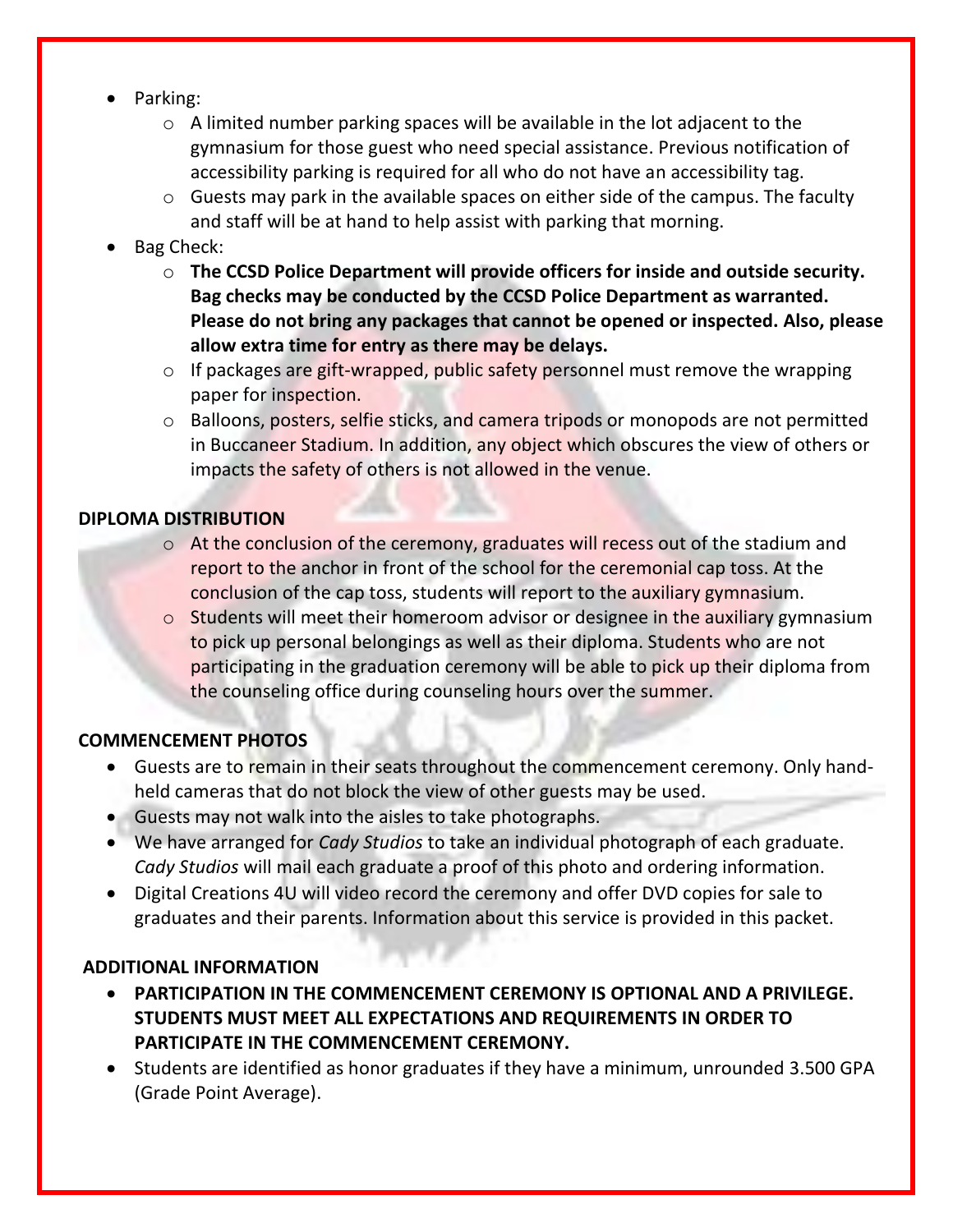- Parking:
	- $\circ$  A limited number parking spaces will be available in the lot adjacent to the gymnasium for those guest who need special assistance. Previous notification of accessibility parking is required for all who do not have an accessibility tag.
	- $\circ$  Guests may park in the available spaces on either side of the campus. The faculty and staff will be at hand to help assist with parking that morning.
- Bag Check:
	- o **The CCSD Police Department will provide officers for inside and outside security. Bag checks may be conducted by the CCSD Police Department as warranted. Please do not bring any packages that cannot be opened or inspected. Also, please allow extra time for entry as there may be delays.**
	- $\circ$  If packages are gift-wrapped, public safety personnel must remove the wrapping paper for inspection.
	- o Balloons, posters, selfie sticks, and camera tripods or monopods are not permitted in Buccaneer Stadium. In addition, any object which obscures the view of others or impacts the safety of others is not allowed in the venue.

#### **DIPLOMA DISTRIBUTION**

- o At the conclusion of the ceremony, graduates will recess out of the stadium and report to the anchor in front of the school for the ceremonial cap toss. At the conclusion of the cap toss, students will report to the auxiliary gymnasium.
- $\circ$  Students will meet their homeroom advisor or designee in the auxiliary gymnasium to pick up personal belongings as well as their diploma. Students who are not participating in the graduation ceremony will be able to pick up their diploma from the counseling office during counseling hours over the summer.

#### **COMMENCEMENT PHOTOS**

- Guests are to remain in their seats throughout the commencement ceremony. Only handheld cameras that do not block the view of other guests may be used.
- Guests may not walk into the aisles to take photographs.
- We have arranged for *Cady Studios* to take an individual photograph of each graduate. *Cady Studios* will mail each graduate a proof of this photo and ordering information.
- Digital Creations 4U will video record the ceremony and offer DVD copies for sale to graduates and their parents. Information about this service is provided in this packet.

# **ADDITIONAL INFORMATION**

- **PARTICIPATION IN THE COMMENCEMENT CEREMONY IS OPTIONAL AND A PRIVILEGE. STUDENTS MUST MEET ALL EXPECTATIONS AND REQUIREMENTS IN ORDER TO PARTICIPATE IN THE COMMENCEMENT CEREMONY.**
- Students are identified as honor graduates if they have a minimum, unrounded 3.500 GPA (Grade Point Average).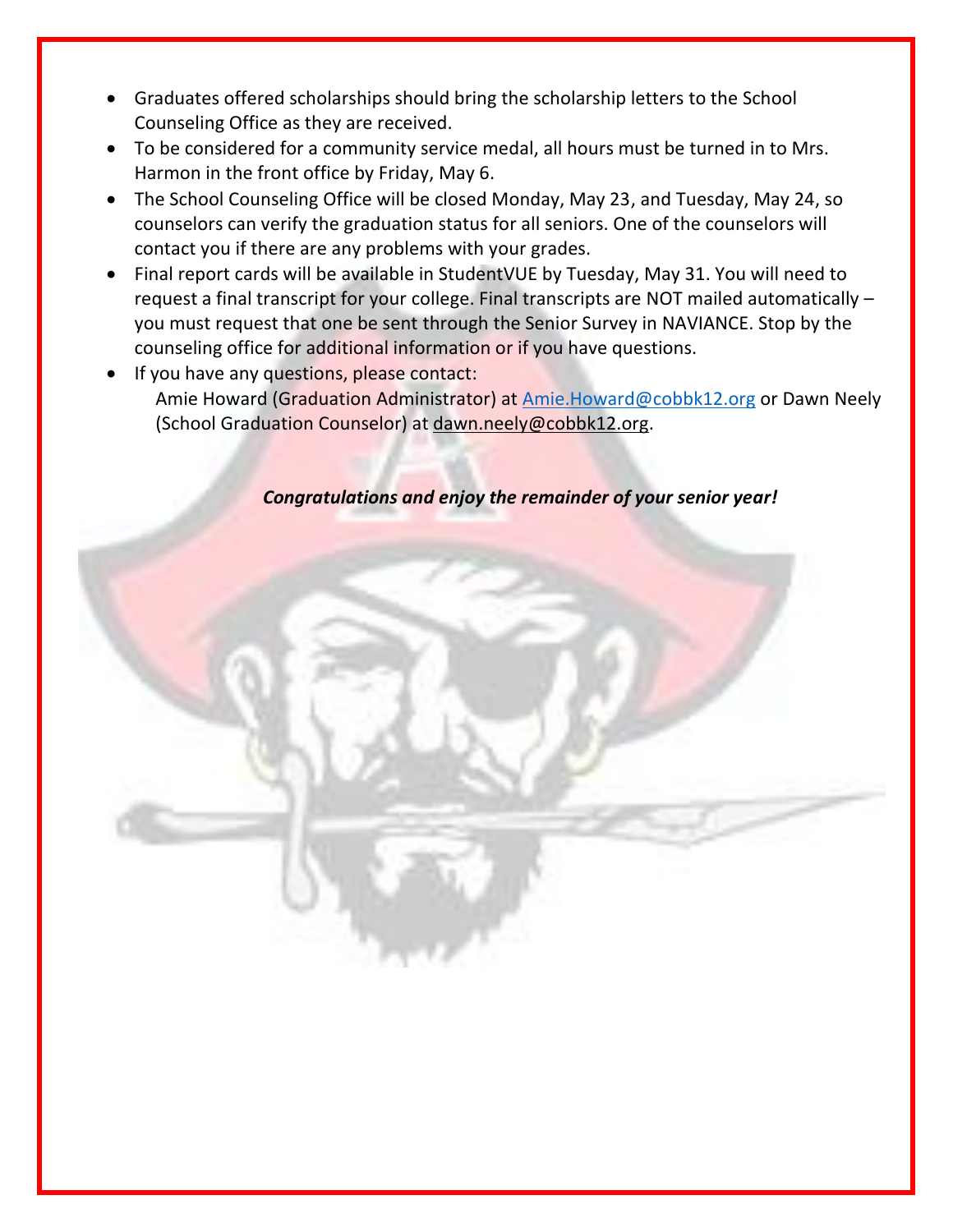- Graduates offered scholarships should bring the scholarship letters to the School Counseling Office as they are received.
- To be considered for a community service medal, all hours must be turned in to Mrs. Harmon in the front office by Friday, May 6.
- The School Counseling Office will be closed Monday, May 23, and Tuesday, May 24, so counselors can verify the graduation status for all seniors. One of the counselors will contact you if there are any problems with your grades.
- Final report cards will be available in StudentVUE by Tuesday, May 31. You will need to request a final transcript for your college. Final transcripts are NOT mailed automatically – you must request that one be sent through the Senior Survey in NAVIANCE. Stop by the counseling office for additional information or if you have questions.
- If you have any questions, please contact: Amie Howard (Graduation Administrator) at [Amie.Howard@cobbk12.org](mailto:Amie.Howard@cobbk12.org) or Dawn Neely (School Graduation Counselor) at [dawn.neely@cobbk12.org.](mailto:dawn.neely@cobbk12.org)

*Congratulations and enjoy the remainder of your senior year!*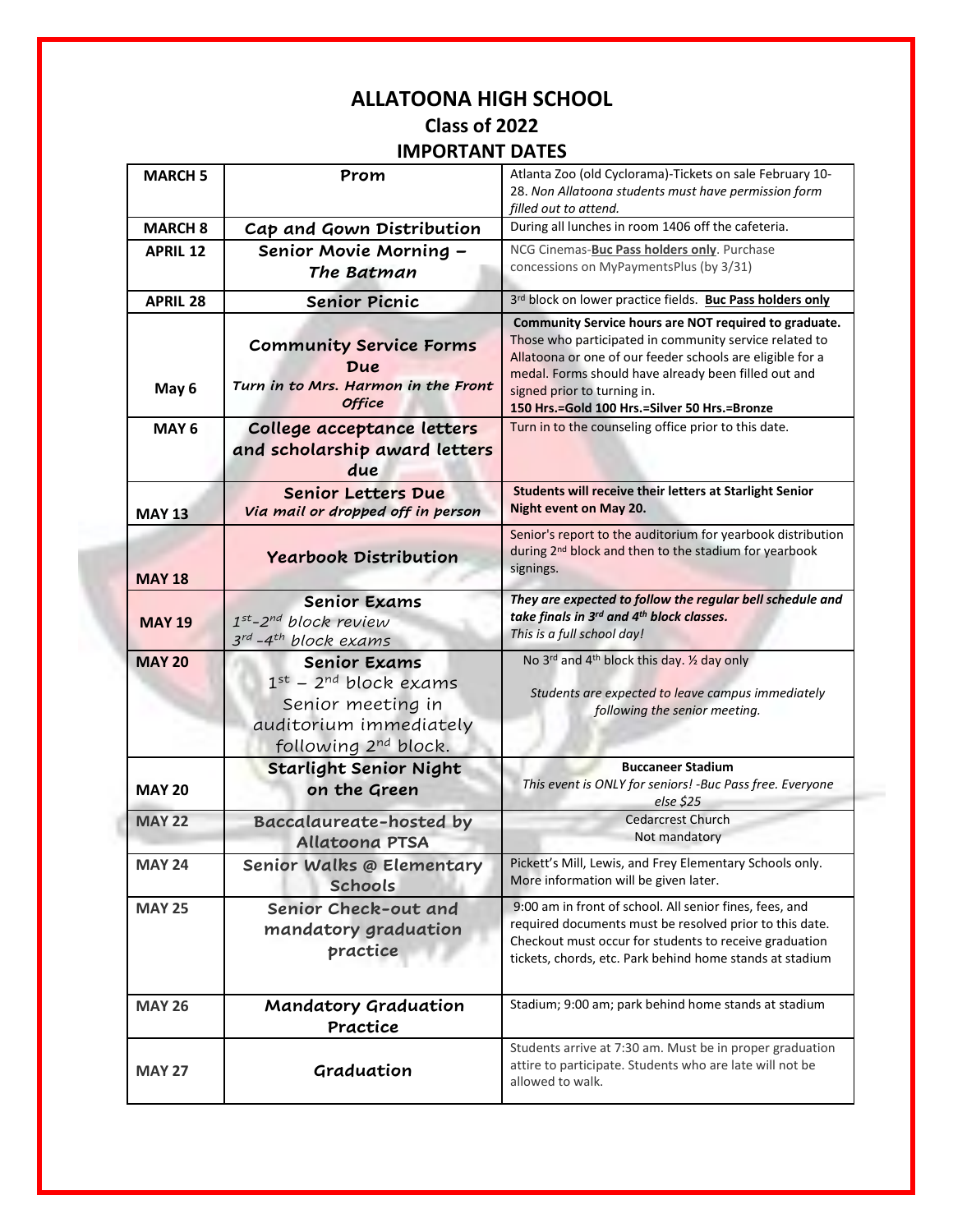### **ALLATOONA HIGH SCHOOL Class of 2022 IMPORTANT DATES**

|                  | II VIIIAIII <i>V</i> AILJ                                                                                                                 |                                                                                                                                                                                                                                                                                                                     |
|------------------|-------------------------------------------------------------------------------------------------------------------------------------------|---------------------------------------------------------------------------------------------------------------------------------------------------------------------------------------------------------------------------------------------------------------------------------------------------------------------|
| <b>MARCH 5</b>   | Prom                                                                                                                                      | Atlanta Zoo (old Cyclorama)-Tickets on sale February 10-<br>28. Non Allatoona students must have permission form<br>filled out to attend.                                                                                                                                                                           |
| <b>MARCH 8</b>   | Cap and Gown Distribution                                                                                                                 | During all lunches in room 1406 off the cafeteria.                                                                                                                                                                                                                                                                  |
| <b>APRIL 12</b>  | Senior Movie Morning -<br>The Batman                                                                                                      | NCG Cinemas-Buc Pass holders only. Purchase<br>concessions on MyPaymentsPlus (by 3/31)                                                                                                                                                                                                                              |
| <b>APRIL 28</b>  | <b>Senior Picnic</b>                                                                                                                      | 3rd block on lower practice fields. Buc Pass holders only                                                                                                                                                                                                                                                           |
| May 6            | <b>Community Service Forms</b><br>Due<br>Turn in to Mrs. Harmon in the Front<br><b>Office</b>                                             | Community Service hours are NOT required to graduate.<br>Those who participated in community service related to<br>Allatoona or one of our feeder schools are eligible for a<br>medal. Forms should have already been filled out and<br>signed prior to turning in.<br>150 Hrs.=Gold 100 Hrs.=Silver 50 Hrs.=Bronze |
| MAY <sub>6</sub> | College acceptance letters<br>and scholarship award letters<br>due                                                                        | Turn in to the counseling office prior to this date.                                                                                                                                                                                                                                                                |
| <b>MAY 13</b>    | <b>Senior Letters Due</b><br>Via mail or dropped off in person                                                                            | <b>Students will receive their letters at Starlight Senior</b><br>Night event on May 20.                                                                                                                                                                                                                            |
| <b>MAY 18</b>    | <b>Yearbook Distribution</b>                                                                                                              | Senior's report to the auditorium for yearbook distribution<br>during 2 <sup>nd</sup> block and then to the stadium for yearbook<br>signings.                                                                                                                                                                       |
| <b>MAY 19</b>    | <b>Senior Exams</b><br>1st-2nd block review<br>3rd -4 <sup>th</sup> block exams                                                           | They are expected to follow the regular bell schedule and<br>take finals in 3rd and 4th block classes.<br>This is a full school day!                                                                                                                                                                                |
| <b>MAY 20</b>    | <b>Senior Exams</b><br>$1^{st}$ – $2^{nd}$ block exams<br>Senior meeting in<br>auditorium immediately<br>following 2 <sup>nd</sup> block. | No 3rd and 4 <sup>th</sup> block this day. 1/2 day only<br>Students are expected to leave campus immediately<br>following the senior meeting.                                                                                                                                                                       |
| <b>MAY 20</b>    | <b>Starlight Senior Night</b><br>on the Green                                                                                             | <b>Buccaneer Stadium</b><br>This event is ONLY for seniors! -Buc Pass free. Everyone<br>else \$25                                                                                                                                                                                                                   |
| <b>MAY 22</b>    | <b>Baccalaureate-hosted by</b><br><b>Allatoona PTSA</b>                                                                                   | <b>Cedarcrest Church</b><br>Not mandatory                                                                                                                                                                                                                                                                           |
| <b>MAY 24</b>    | Senior Walks @ Elementary<br><b>Schools</b>                                                                                               | Pickett's Mill, Lewis, and Frey Elementary Schools only.<br>More information will be given later.                                                                                                                                                                                                                   |
| <b>MAY 25</b>    | Senior Check-out and<br>mandatory graduation<br>practice                                                                                  | 9:00 am in front of school. All senior fines, fees, and<br>required documents must be resolved prior to this date.<br>Checkout must occur for students to receive graduation<br>tickets, chords, etc. Park behind home stands at stadium                                                                            |
| <b>MAY 26</b>    | <b>Mandatory Graduation</b><br>Practice                                                                                                   | Stadium; 9:00 am; park behind home stands at stadium                                                                                                                                                                                                                                                                |
| <b>MAY 27</b>    | Graduation                                                                                                                                | Students arrive at 7:30 am. Must be in proper graduation<br>attire to participate. Students who are late will not be<br>allowed to walk.                                                                                                                                                                            |